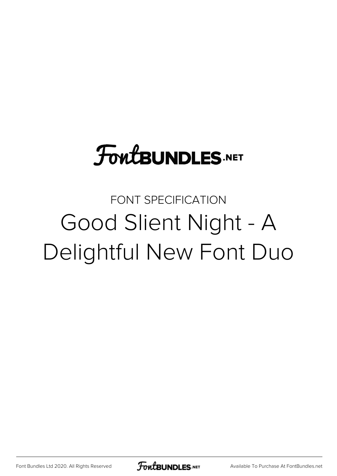#### **FoutBUNDLES.NET**

#### FONT SPECIFICATION Good Slient Night - A Delightful New Font Duo

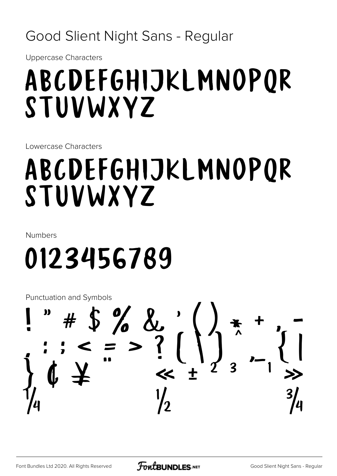#### Good Slient Night Sans - Regular

**Uppercase Characters** 

#### ABCDEFGHIJKLMNOPOR STUVWXYZ

Lowercase Characters

### ABCDEFGHIJKLMNOPOR STUVWXYZ

**Numbers** 

## 0123456789

**Punctuation and Symbols** 

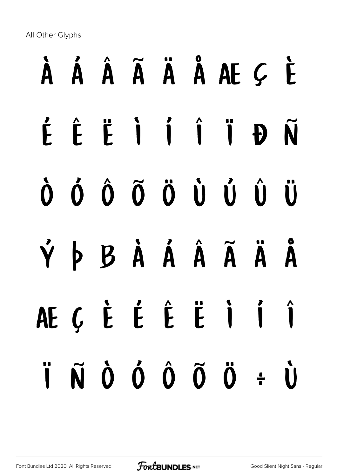All Other Glyphs

# À Á Â Ã Ä Å Æ Ç È É Ê Ë Ì Í Î Ï Ð Ñ Ò Ó Ô Õ Ö Ù Ú Û Ü Ý Þ ß à á â ã ä å æ ç è é ê ë ì í î  $\ddot{\mathbf{i}}$   $\tilde{\mathbf{N}}$   $\dot{\mathbf{O}}$   $\dot{\mathbf{O}}$   $\ddot{\mathbf{O}}$   $\ddot{\mathbf{O}}$   $\ddot{\mathbf{O}}$   $\ddot{\mathbf{O}}$   $\ddot{\mathbf{O}}$   $\ddot{\mathbf{O}}$   $\ddot{\mathbf{O}}$   $\ddot{\mathbf{O}}$   $\ddot{\mathbf{O}}$   $\ddot{\mathbf{O}}$   $\ddot{\mathbf{O}}$   $\ddot{\mathbf{O}}$   $\ddot{\mathbf{O}}$   $\ddot{\mathbf{O}}$   $\ddot{\mathbf{$

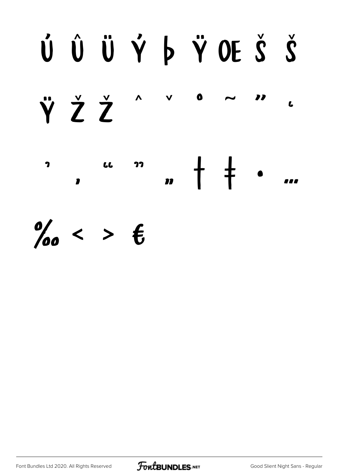#### ÚÛÜÝ ÞŸOEŠŠ ŸŽŽ  $\Lambda$ 77  $\mathbf{L}$

 $\dagger$   $\dagger$  $\overline{\mathbf{z}}$  $\overline{\mathbf{L}}$ 77  $\mathbf{v}$ 111  $\mathbf{r}$ 

 $\%$  < >  $\epsilon$ 

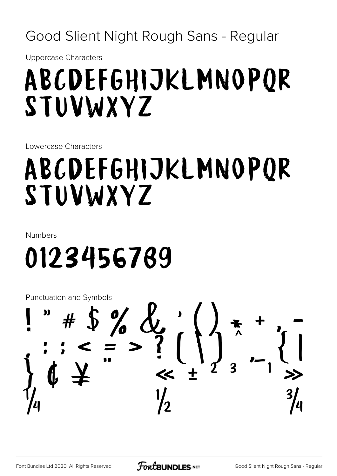Good Slient Night Rough Sans - Regular

**Uppercase Characters** 

#### ABCDEFGHIJKLMNOPOR STUVWXYZ

Lowercase Characters

#### ABCDEFGHIJKLMNOPOR STUVWXYZ

**Numbers** 

### 0123456789

**Punctuation and Symbols** 

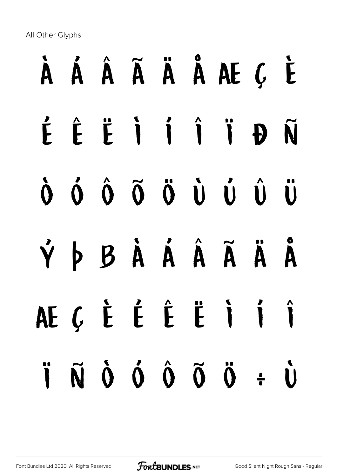All Other Glyphs

# À Á Â Ã Ä Å Æ Ç È É Ê Ë Ì Í Î Ï Ð Ñ Ò Ó Ô Õ Ö Ù Ú Û Ü Ý Þ ß à á â ã ä å æ ç è é ê ë ì í î  $\ddot{\mathbf{i}}$   $\tilde{\mathbf{N}}$   $\dot{\mathbf{O}}$   $\dot{\mathbf{O}}$   $\ddot{\mathbf{O}}$   $\ddot{\mathbf{O}}$   $\ddot{\mathbf{O}}$   $\ddot{\mathbf{O}}$   $\ddot{\mathbf{O}}$   $\ddot{\mathbf{O}}$   $\ddot{\mathbf{O}}$   $\ddot{\mathbf{O}}$   $\ddot{\mathbf{O}}$   $\ddot{\mathbf{O}}$   $\ddot{\mathbf{O}}$   $\ddot{\mathbf{O}}$   $\ddot{\mathbf{O}}$   $\ddot{\mathbf{O}}$   $\ddot{\mathbf{$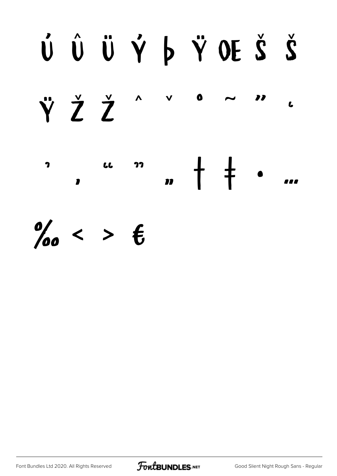## ÚÛÜÝ þŸ OEŠŠ  $\boldsymbol{\Lambda}$

ŸŽŽ  $\mathbf{L}$  $\dagger$   $\ddagger$  $\overline{\mathbf{z}}$  $\overline{\mathbf{L}}$ 77  $\mathbf{m}$  $\mathbf{P}$ 111

 $\%$  < >  $\epsilon$ 

Font Bundles Ltd 2020. All Rights Reserved



77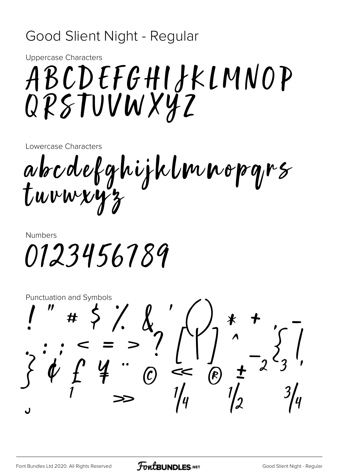#### Good Slient Night - Regular

**Uppercase Characters** 

### ABCDEFGHIJKLMNOP QPSTUVWXYZ

Lowercase Characters

abcdefghijklmnopgrs tuvwxy

**Numbers** 0123456789

**Punctuation and Symbols**  $# 5 / 2$  $\frac{1}{1}$  =  $\frac{1}{10}$ <br> $\frac{1}{10}$ <br> $\frac{1}{10}$  $-2^2$  $\frac{1}{2}$ ل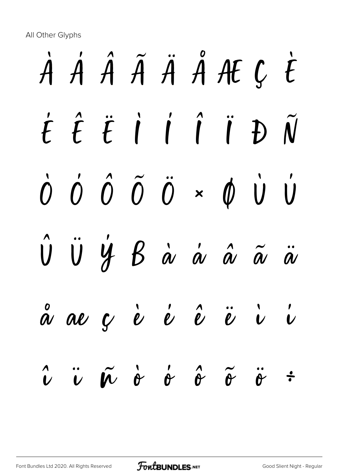All Other Glyphs

# À Á Â Ã Ä Å Æ Ç È É Ê Ë Ì Í Î Ï Ð Ñ  $\dot{0}$   $\dot{0}$   $\ddot{0}$   $\ddot{0}$   $\ddot{0}$   $\times$   $\dot{0}$   $\dot{0}$   $\dot{0}$ Û Ü Ý ß à á â ã ä  $\stackrel{\circ}{\alpha}$  ae ç è é é  $\stackrel{\circ}{\nu}$  è è è i i  $\hat{v}$   $\ddot{\hat{v}}$   $\hat{\alpha}$   $\dot{\hat{\sigma}}$   $\hat{\sigma}$   $\tilde{\sigma}$   $\ddot{\hat{\sigma}}$   $\ddot{\hat{\sigma}}$   $\ddot{\hat{\sigma}}$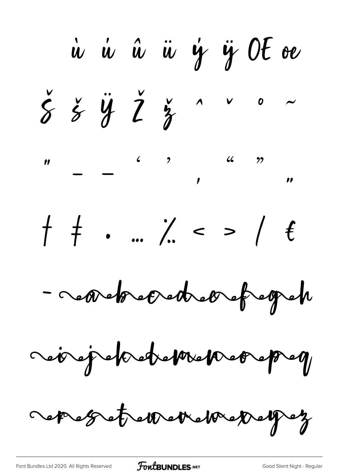ù ù û ü ý ÿ OE oe  $\check{\xi}$   $\check{\xi}$   $\ddot{\check{y}}$   $\check{\check{Z}}$   $\check{\check{z}}$   $\overset{\circ}{\check{z}}$   $\overset{\circ}{\check{z}}$  $f + \cdot ... / 2 > 16$ - cessetted de chefter retrepekteteken orepet sept et errettelser pet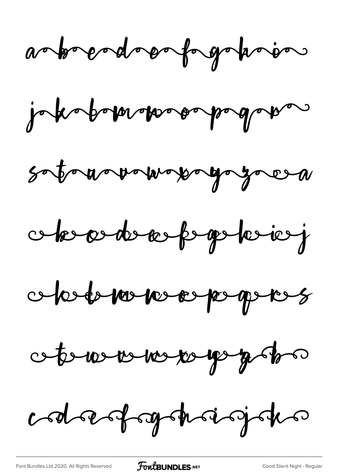asbordsonforgation

jokobomovoopapagan

soto a ovormopogozocea

cherontenfogotoien

obstatour de populations

oteners ne pep plan

codoesforgehoisjoks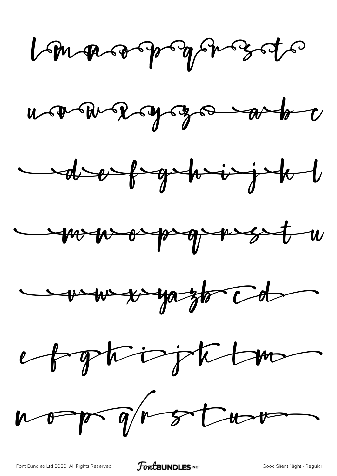Langeographysots

ucacave y go abo









nop groto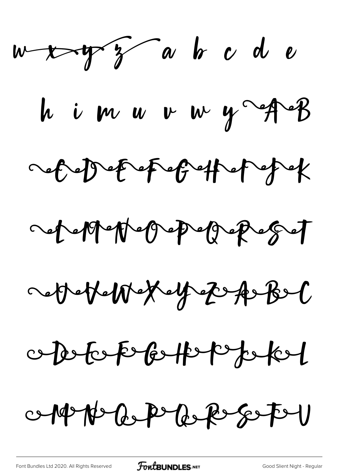$w$   $\leftrightarrow$   $w$   $\sim$   $w$   $\sim$   $w$   $\sim$   $w$   $\sim$ himurwy rath dependent for the poper ochement of people get acter We Key E A Bel opotop betep pokel 0-19 N C P C R E S F